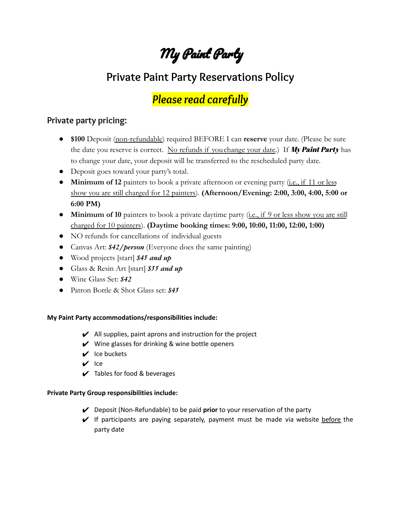# My Paint Party

# **Private Paint Party Reservations Policy**

## *Please read carefully*

### **Private party pricing:**

- **\$100** Deposit (non-refundable) required BEFORE I can **reserve** your date. (Please be sure the date you reserve is correct. No refunds if you change your date.) If My Paint Party has to change your date, your deposit will be transferred to the rescheduled party date.
- Deposit goes toward your party's total.
- **Minimum of 12** painters to book a private afternoon or evening party (i.e., if 11 or less show you are still charged for 12 painters). **(Afternoon/Evening: 2:00, 3:00, 4:00, 5:00 or 6:00 PM)**
- **Minimum of 10** painters to book a private daytime party (i.e., if 9 or less show you are still charged for 10 painters). **(Daytime booking times: 9:00, 10:00, 11:00, 12:00, 1:00)**
- NO refunds for cancellations of individual guests
- Canvas Art: *\$42/person* (Everyone does the same painting)
- Wood projects [start] *\$45 and up*
- Glass & Resin Art [start] *\$55 and up*
- **●** Wine Glass Set: *\$42*
- **●** Patron Bottle & Shot Glass set: *\$45*

#### **My Paint Party accommodations/responsibilities include:**

- $\boldsymbol{\nu}$  All supplies, paint aprons and instruction for the project
- $\boldsymbol{\checkmark}$  Wine glasses for drinking & wine bottle openers
- $\vee$  Ice buckets
- $V$  Ice
- $\blacktriangleright$  Tables for food & beverages

#### **Private Party Group responsibilities include:**

- ✔ Deposit (Non-Refundable) to be paid **prior** to your reservation of the party
- $\vee$  If participants are paying separately, payment must be made via website before the party date